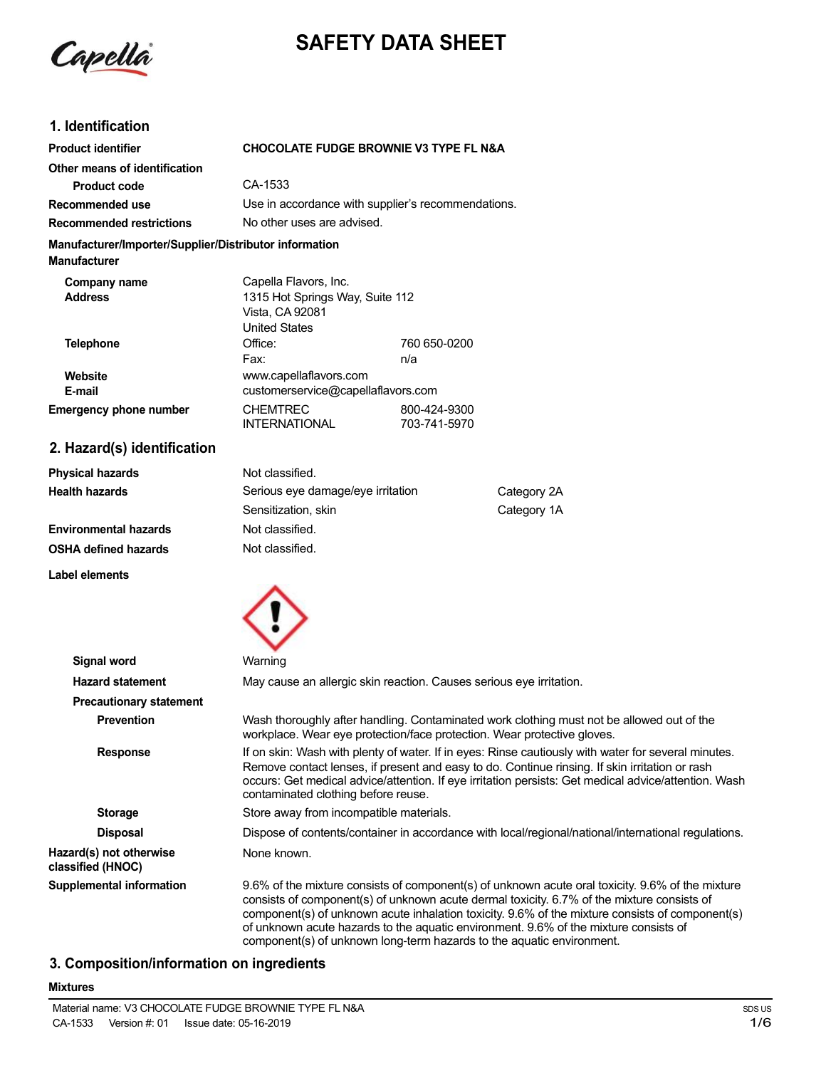

# **SAFETY DATA SHEET**

# **1. Identification**

| <b>Product identifier</b>                                                     | <b>CHOCOLATE FUDGE BROWNIE V3 TYPE FL N&amp;A</b>                                                   |                                                    |             |  |
|-------------------------------------------------------------------------------|-----------------------------------------------------------------------------------------------------|----------------------------------------------------|-------------|--|
| Other means of identification                                                 |                                                                                                     |                                                    |             |  |
| <b>Product code</b>                                                           | CA-1533                                                                                             |                                                    |             |  |
| Recommended use                                                               |                                                                                                     | Use in accordance with supplier's recommendations. |             |  |
| <b>Recommended restrictions</b>                                               |                                                                                                     | No other uses are advised.                         |             |  |
| Manufacturer/Importer/Supplier/Distributor information<br><b>Manufacturer</b> |                                                                                                     |                                                    |             |  |
| Company name<br><b>Address</b>                                                | Capella Flavors, Inc.<br>1315 Hot Springs Way, Suite 112<br>Vista, CA 92081<br><b>United States</b> |                                                    |             |  |
| <b>Telephone</b>                                                              | Office:<br>Fax:                                                                                     | 760 650-0200<br>n/a                                |             |  |
| Website<br>E-mail                                                             | www.capellaflavors.com<br>customerservice@capellaflavors.com                                        |                                                    |             |  |
| <b>Emergency phone number</b>                                                 | <b>CHEMTREC</b><br>INTERNATIONAL                                                                    | 800-424-9300<br>703-741-5970                       |             |  |
| 2. Hazard(s) identification                                                   |                                                                                                     |                                                    |             |  |
| <b>Physical hazards</b>                                                       | Not classified.                                                                                     |                                                    |             |  |
| <b>Health hazards</b>                                                         | Serious eye damage/eye irritation                                                                   |                                                    | Category 2A |  |
|                                                                               | Sensitization, skin                                                                                 |                                                    | Category 1A |  |
| <b>Environmental hazards</b>                                                  | Not classified.                                                                                     |                                                    |             |  |
| <b>OSHA defined hazards</b>                                                   | Not classified.                                                                                     |                                                    |             |  |

**Label elements**



| Signal word                                  | Warning                                                                                                                                                                                                                                                                                                                                                                                   |
|----------------------------------------------|-------------------------------------------------------------------------------------------------------------------------------------------------------------------------------------------------------------------------------------------------------------------------------------------------------------------------------------------------------------------------------------------|
| <b>Hazard statement</b>                      | May cause an allergic skin reaction. Causes serious eye irritation.                                                                                                                                                                                                                                                                                                                       |
| <b>Precautionary statement</b>               |                                                                                                                                                                                                                                                                                                                                                                                           |
| <b>Prevention</b>                            | Wash thoroughly after handling. Contaminated work clothing must not be allowed out of the<br>workplace. Wear eye protection/face protection. Wear protective gloves.                                                                                                                                                                                                                      |
| <b>Response</b>                              | If on skin: Wash with plenty of water. If in eyes: Rinse cautiously with water for several minutes.<br>Remove contact lenses, if present and easy to do. Continue rinsing. If skin irritation or rash<br>occurs: Get medical advice/attention. If eye irritation persists: Get medical advice/attention. Wash<br>contaminated clothing before reuse.                                      |
| <b>Storage</b>                               | Store away from incompatible materials.                                                                                                                                                                                                                                                                                                                                                   |
| <b>Disposal</b>                              | Dispose of contents/container in accordance with local/regional/national/international regulations.                                                                                                                                                                                                                                                                                       |
| Hazard(s) not otherwise<br>classified (HNOC) | None known.                                                                                                                                                                                                                                                                                                                                                                               |
| <b>Supplemental information</b>              | 9.6% of the mixture consists of component(s) of unknown acute oral toxicity. 9.6% of the mixture<br>consists of component(s) of unknown acute dermal toxicity. 6.7% of the mixture consists of<br>component(s) of unknown acute inhalation toxicity. 9.6% of the mixture consists of component(s)<br>of unknown acute hazards to the aquatic environment. 9.6% of the mixture consists of |

component(s) of unknown long-term hazards to the aquatic environment.

## **3. Composition/information on ingredients**

#### **Mixtures**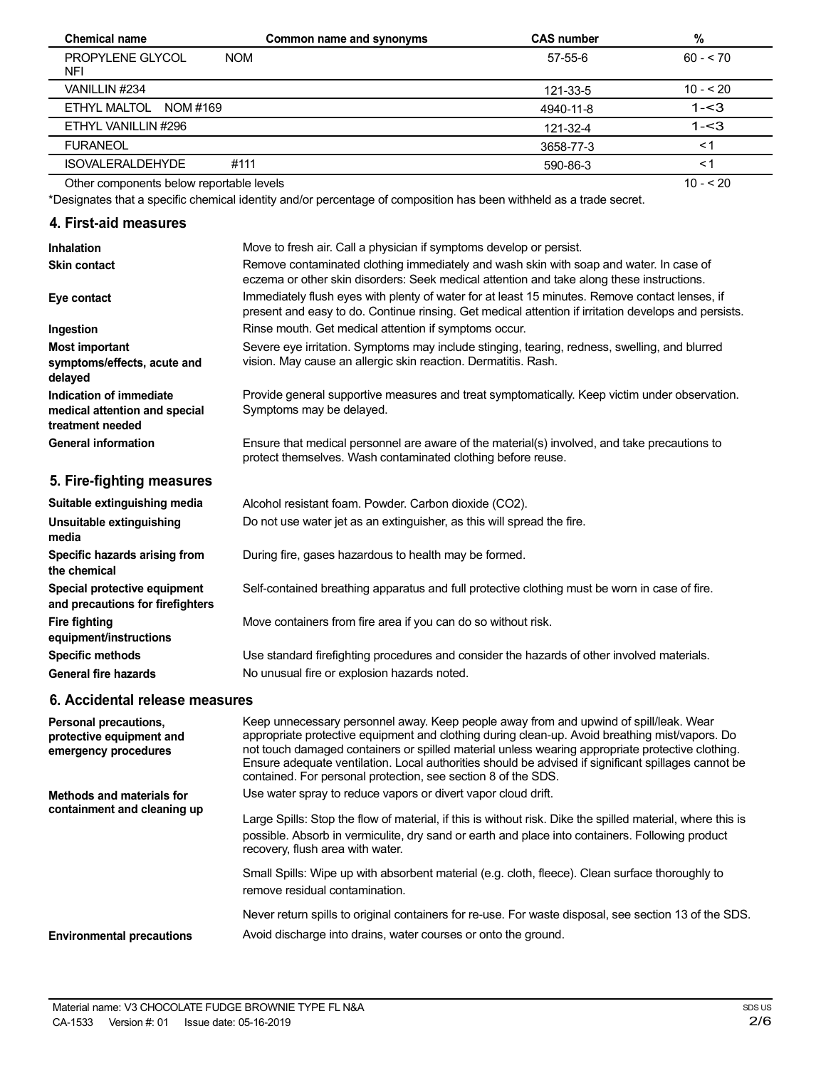| <b>Chemical name</b>                     | Common name and synonyms | <b>CAS number</b> | %          |
|------------------------------------------|--------------------------|-------------------|------------|
| PROPYLENE GLYCOL<br><b>NOM</b><br>NFI    |                          | $57 - 55 - 6$     | $60 - 70$  |
| VANILLIN #234                            |                          | 121-33-5          | $10 - 520$ |
| ETHYL MALTOL<br>NOM #169                 |                          | 4940-11-8         | $1 - 3$    |
| ETHYL VANILLIN #296                      |                          | 121-32-4          | $1 - 3$    |
| <b>FURANEOL</b>                          |                          | 3658-77-3         | $\lt$ 1    |
| <b>ISOVALERALDEHYDE</b><br>#111          |                          | 590-86-3          | $\leq$ 1   |
| Other components below reportable levels |                          |                   | $10 - 520$ |

Other components below reportable levels

\*Designates that a specific chemical identity and/or percentage of composition has been withheld as a trade secret.

# **4. First-aid measures**

| <b>Inhalation</b>                                                            | Move to fresh air. Call a physician if symptoms develop or persist.                                                                                                                                    |
|------------------------------------------------------------------------------|--------------------------------------------------------------------------------------------------------------------------------------------------------------------------------------------------------|
| <b>Skin contact</b>                                                          | Remove contaminated clothing immediately and wash skin with soap and water. In case of<br>eczema or other skin disorders: Seek medical attention and take along these instructions.                    |
| Eye contact                                                                  | Immediately flush eyes with plenty of water for at least 15 minutes. Remove contact lenses, if<br>present and easy to do. Continue rinsing. Get medical attention if irritation develops and persists. |
| Ingestion                                                                    | Rinse mouth. Get medical attention if symptoms occur.                                                                                                                                                  |
| Most important<br>symptoms/effects, acute and<br>delayed                     | Severe eye irritation. Symptoms may include stinging, tearing, redness, swelling, and blurred<br>vision. May cause an allergic skin reaction. Dermatitis. Rash.                                        |
| Indication of immediate<br>medical attention and special<br>treatment needed | Provide general supportive measures and treat symptomatically. Keep victim under observation.<br>Symptoms may be delayed.                                                                              |
| <b>General information</b>                                                   | Ensure that medical personnel are aware of the material(s) involved, and take precautions to<br>protect themselves. Wash contaminated clothing before reuse.                                           |
| 5. Fire-fighting measures                                                    |                                                                                                                                                                                                        |
| Suitable extinguishing media                                                 | Alcohol resistant foam. Powder. Carbon dioxide (CO2).                                                                                                                                                  |
| Unsuitable extinguishing<br>media                                            | Do not use water jet as an extinguisher, as this will spread the fire.                                                                                                                                 |
| Specific hazards arising from<br>the chemical                                | During fire, gases hazardous to health may be formed.                                                                                                                                                  |
| Special protective equipment<br>and precautions for firefighters             | Self-contained breathing apparatus and full protective clothing must be worn in case of fire.                                                                                                          |
| <b>Fire fighting</b><br>equipment/instructions                               | Move containers from fire area if you can do so without risk.                                                                                                                                          |

Use standard firefighting procedures and consider the hazards of other involved materials. No unusual fire or explosion hazards noted.

## **6. Accidental release measures**

**Specific methods General fire hazards**

| Personal precautions,<br>protective equipment and<br>emergency procedures | Keep unnecessary personnel away. Keep people away from and upwind of spill/leak. Wear<br>appropriate protective equipment and clothing during clean-up. Avoid breathing mist/vapors. Do<br>not touch damaged containers or spilled material unless wearing appropriate protective clothing.<br>Ensure adequate ventilation. Local authorities should be advised if significant spillages cannot be<br>contained. For personal protection, see section 8 of the SDS. |
|---------------------------------------------------------------------------|---------------------------------------------------------------------------------------------------------------------------------------------------------------------------------------------------------------------------------------------------------------------------------------------------------------------------------------------------------------------------------------------------------------------------------------------------------------------|
| <b>Methods and materials for</b><br>containment and cleaning up           | Use water spray to reduce vapors or divert vapor cloud drift.<br>Large Spills: Stop the flow of material, if this is without risk. Dike the spilled material, where this is<br>possible. Absorb in vermiculite, dry sand or earth and place into containers. Following product<br>recovery, flush area with water.                                                                                                                                                  |
|                                                                           | Small Spills: Wipe up with absorbent material (e.g. cloth, fleece). Clean surface thoroughly to<br>remove residual contamination.                                                                                                                                                                                                                                                                                                                                   |
| <b>Environmental precautions</b>                                          | Never return spills to original containers for re-use. For waste disposal, see section 13 of the SDS.<br>Avoid discharge into drains, water courses or onto the ground.                                                                                                                                                                                                                                                                                             |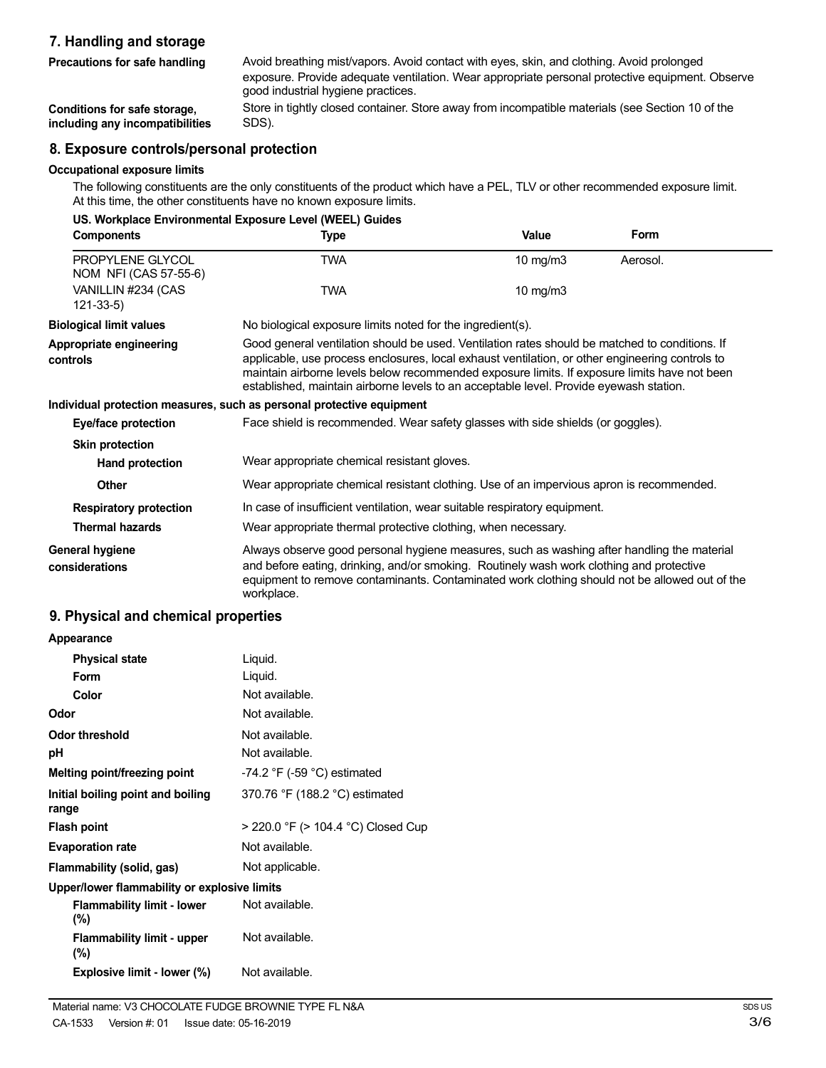# **7. Handling and storage**

| Avoid breathing mist/vapors. Avoid contact with eyes, skin, and clothing. Avoid prolonged<br>exposure. Provide adequate ventilation. Wear appropriate personal protective equipment. Observe<br>good industrial hygiene practices. |
|------------------------------------------------------------------------------------------------------------------------------------------------------------------------------------------------------------------------------------|
| Store in tightly closed container. Store away from incompatible materials (see Section 10 of the<br>SDS).                                                                                                                          |
| 8. Exposure controls/personal protection                                                                                                                                                                                           |
|                                                                                                                                                                                                                                    |

#### **8. Exposure controls/personal protection**

## **Occupational exposure limits**

The following constituents are the only constituents of the product which have a PEL, TLV or other recommended exposure limit. At this time, the other constituents have no known exposure limits.

| US. Workplace Environmental Exposure Level (WEEL) Guides |                                                                                                                                                                                                                                                                                                                                                                                             |              |             |  |
|----------------------------------------------------------|---------------------------------------------------------------------------------------------------------------------------------------------------------------------------------------------------------------------------------------------------------------------------------------------------------------------------------------------------------------------------------------------|--------------|-------------|--|
| <b>Components</b>                                        | <b>Type</b>                                                                                                                                                                                                                                                                                                                                                                                 | <b>Value</b> | <b>Form</b> |  |
| PROPYLENE GLYCOL<br>NOM NFI (CAS 57-55-6)                | <b>TWA</b>                                                                                                                                                                                                                                                                                                                                                                                  | 10 mg/m3     | Aerosol.    |  |
| VANILLIN #234 (CAS<br>$121 - 33 - 5$                     | <b>TWA</b>                                                                                                                                                                                                                                                                                                                                                                                  | 10 mg/m $3$  |             |  |
| <b>Biological limit values</b>                           | No biological exposure limits noted for the ingredient(s).                                                                                                                                                                                                                                                                                                                                  |              |             |  |
| Appropriate engineering<br>controls                      | Good general ventilation should be used. Ventilation rates should be matched to conditions. If<br>applicable, use process enclosures, local exhaust ventilation, or other engineering controls to<br>maintain airborne levels below recommended exposure limits. If exposure limits have not been<br>established, maintain airborne levels to an acceptable level. Provide eyewash station. |              |             |  |
|                                                          | Individual protection measures, such as personal protective equipment                                                                                                                                                                                                                                                                                                                       |              |             |  |
| Eye/face protection                                      | Face shield is recommended. Wear safety glasses with side shields (or goggles).                                                                                                                                                                                                                                                                                                             |              |             |  |
| <b>Skin protection</b>                                   |                                                                                                                                                                                                                                                                                                                                                                                             |              |             |  |
| Hand protection                                          | Wear appropriate chemical resistant gloves.                                                                                                                                                                                                                                                                                                                                                 |              |             |  |
| Other                                                    | Wear appropriate chemical resistant clothing. Use of an impervious apron is recommended.                                                                                                                                                                                                                                                                                                    |              |             |  |
| <b>Respiratory protection</b>                            | In case of insufficient ventilation, wear suitable respiratory equipment.                                                                                                                                                                                                                                                                                                                   |              |             |  |
| <b>Thermal hazards</b>                                   | Wear appropriate thermal protective clothing, when necessary.                                                                                                                                                                                                                                                                                                                               |              |             |  |
| <b>General hygiene</b><br>considerations                 | Always observe good personal hygiene measures, such as washing after handling the material<br>and before eating, drinking, and/or smoking. Routinely wash work clothing and protective<br>equipment to remove contaminants. Contaminated work clothing should not be allowed out of the<br>workplace.                                                                                       |              |             |  |

## **9. Physical and chemical properties**

| Appearance                                   |                                    |
|----------------------------------------------|------------------------------------|
| <b>Physical state</b>                        | Liquid.                            |
| Form                                         | Liquid.                            |
| Color                                        | Not available.                     |
| Odor                                         | Not available.                     |
| <b>Odor threshold</b>                        | Not available.                     |
| рH                                           | Not available.                     |
| Melting point/freezing point                 | $-74.2$ °F ( $-59$ °C) estimated   |
| Initial boiling point and boiling<br>range   | 370.76 °F (188.2 °C) estimated     |
| Flash point                                  | > 220.0 °F (> 104.4 °C) Closed Cup |
| <b>Evaporation rate</b>                      | Not available.                     |
| Flammability (solid, gas)                    | Not applicable.                    |
| Upper/lower flammability or explosive limits |                                    |
| <b>Flammability limit - lower</b><br>$(\%)$  | Not available.                     |
| <b>Flammability limit - upper</b><br>(%)     | Not available.                     |
| Explosive limit - lower (%)                  | Not available.                     |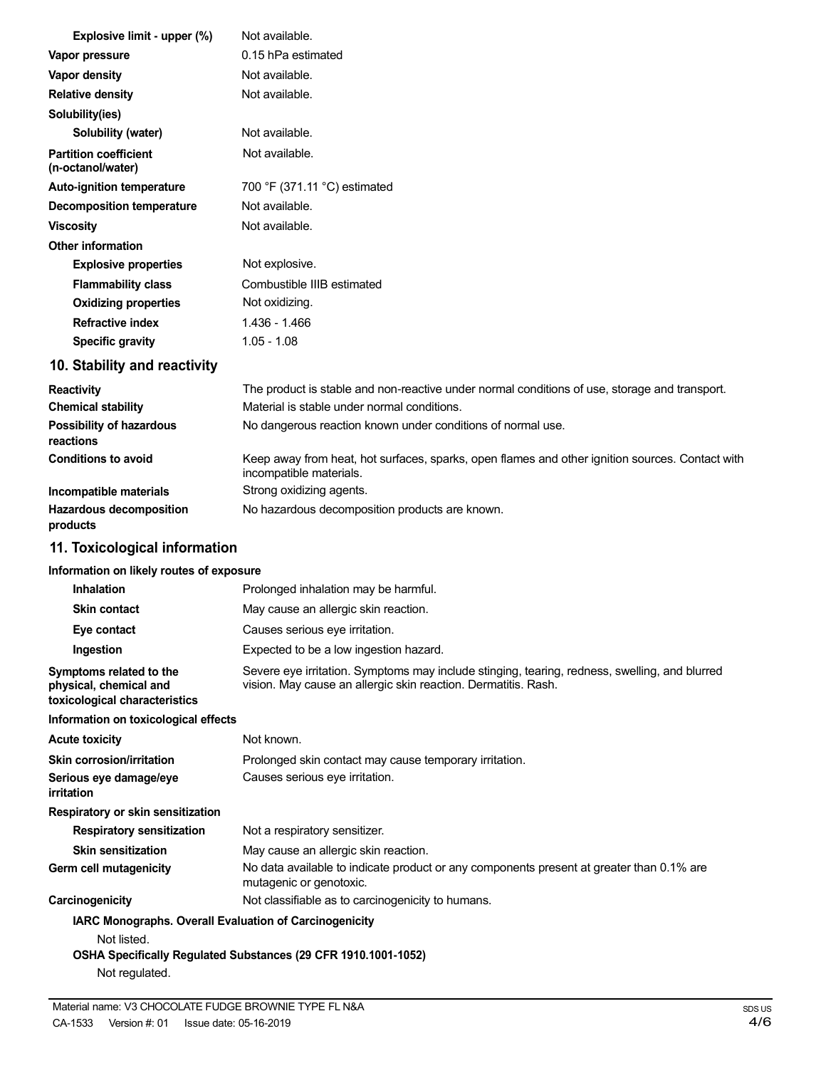| Explosive limit - upper (%)                       | Not available.                                                                                |
|---------------------------------------------------|-----------------------------------------------------------------------------------------------|
| Vapor pressure                                    | 0.15 hPa estimated                                                                            |
| Vapor density                                     | Not available.                                                                                |
| <b>Relative density</b>                           | Not available.                                                                                |
| Solubility(ies)                                   |                                                                                               |
| Solubility (water)                                | Not available.                                                                                |
| <b>Partition coefficient</b><br>(n-octanol/water) | Not available.                                                                                |
| <b>Auto-ignition temperature</b>                  | 700 °F (371.11 °C) estimated                                                                  |
| <b>Decomposition temperature</b>                  | Not available.                                                                                |
| <b>Viscosity</b>                                  | Not available.                                                                                |
| <b>Other information</b>                          |                                                                                               |
| <b>Explosive properties</b>                       | Not explosive.                                                                                |
| <b>Flammability class</b>                         | Combustible IIIB estimated                                                                    |
| <b>Oxidizing properties</b>                       | Not oxidizing.                                                                                |
| <b>Refractive index</b>                           | $1.436 - 1.466$                                                                               |
| <b>Specific gravity</b>                           | $1.05 - 1.08$                                                                                 |
| 10. Stability and reactivity                      |                                                                                               |
| Reactivity                                        | The product is stable and non-reactive under normal conditions of use, storage and transport. |
| <b>Chemical stability</b>                         | Material is stable under normal conditions.                                                   |
| Possibility of hazardous                          | No dangerous reaction known under conditions of normal use.                                   |

**reactions Conditions to avoid Incompatible materials Hazardous decomposition** Keep away from heat, hot surfaces, sparks, open flames and other ignition sources. Contact with incompatible materials. Strong oxidizing agents. No hazardous decomposition products are known.

# **11. Toxicological information**

**products**

## **Information on likely routes of exposure**

| <b>Inhalation</b>                                                                              | Prolonged inhalation may be harmful.                                                                                                                            |
|------------------------------------------------------------------------------------------------|-----------------------------------------------------------------------------------------------------------------------------------------------------------------|
| <b>Skin contact</b>                                                                            | May cause an allergic skin reaction.                                                                                                                            |
| Eye contact                                                                                    | Causes serious eye irritation.                                                                                                                                  |
| Ingestion                                                                                      | Expected to be a low ingestion hazard.                                                                                                                          |
| Symptoms related to the<br>physical, chemical and<br>toxicological characteristics             | Severe eye irritation. Symptoms may include stinging, tearing, redness, swelling, and blurred<br>vision. May cause an allergic skin reaction. Dermatitis. Rash. |
| Information on toxicological effects                                                           |                                                                                                                                                                 |
| <b>Acute toxicity</b>                                                                          | Not known.                                                                                                                                                      |
| Skin corrosion/irritation                                                                      | Prolonged skin contact may cause temporary irritation.                                                                                                          |
| Serious eye damage/eye<br>irritation                                                           | Causes serious eye irritation.                                                                                                                                  |
| Respiratory or skin sensitization                                                              |                                                                                                                                                                 |
| <b>Respiratory sensitization</b>                                                               | Not a respiratory sensitizer.                                                                                                                                   |
| <b>Skin sensitization</b>                                                                      | May cause an allergic skin reaction.                                                                                                                            |
| Germ cell mutagenicity                                                                         | No data available to indicate product or any components present at greater than 0.1% are<br>mutagenic or genotoxic.                                             |
| Carcinogenicity                                                                                | Not classifiable as to carcinogenicity to humans.                                                                                                               |
| <b>IARC Monographs. Overall Evaluation of Carcinogenicity</b><br>Not listed.<br>Not regulated. | OSHA Specifically Regulated Substances (29 CFR 1910.1001-1052)                                                                                                  |
|                                                                                                |                                                                                                                                                                 |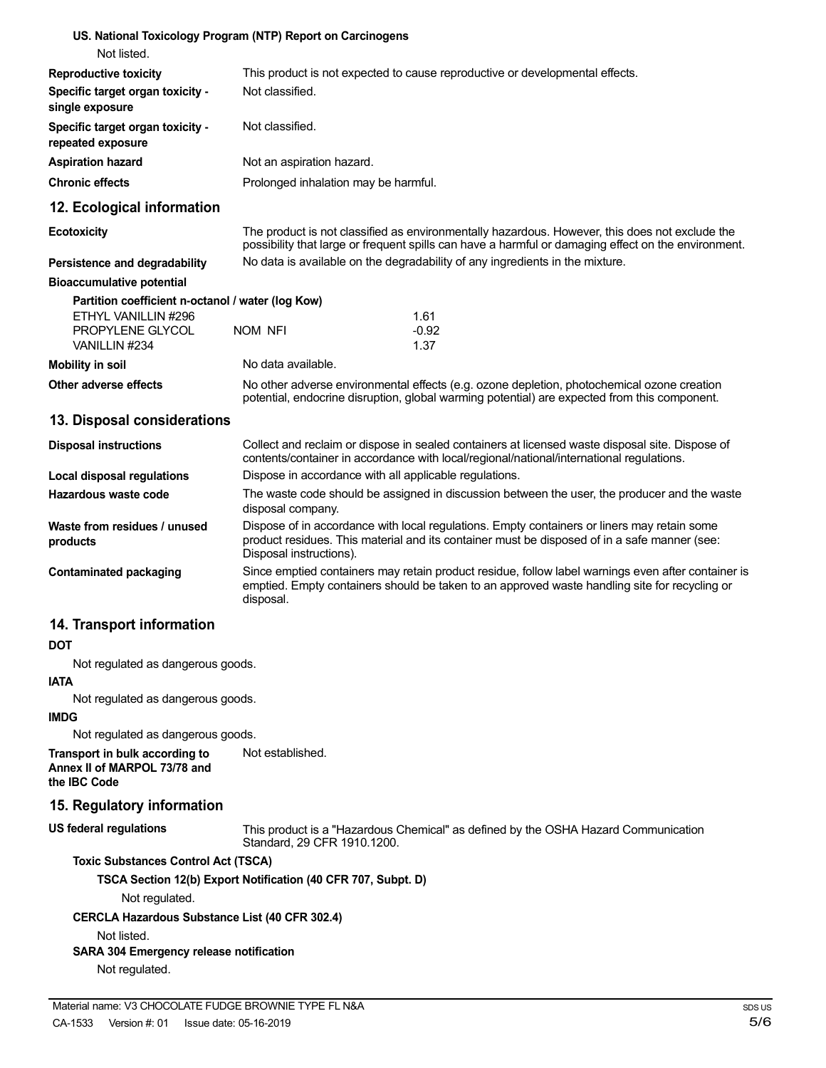| Not listed.                                                                    | US. National Toxicology Program (NTP) Report on Carcinogens                                                                                                                                                            |                                                                                                                                                                                             |  |
|--------------------------------------------------------------------------------|------------------------------------------------------------------------------------------------------------------------------------------------------------------------------------------------------------------------|---------------------------------------------------------------------------------------------------------------------------------------------------------------------------------------------|--|
| <b>Reproductive toxicity</b>                                                   | This product is not expected to cause reproductive or developmental effects.                                                                                                                                           |                                                                                                                                                                                             |  |
| Specific target organ toxicity -<br>single exposure                            | Not classified.                                                                                                                                                                                                        |                                                                                                                                                                                             |  |
| Specific target organ toxicity -<br>repeated exposure                          | Not classified.                                                                                                                                                                                                        |                                                                                                                                                                                             |  |
| <b>Aspiration hazard</b>                                                       | Not an aspiration hazard.                                                                                                                                                                                              |                                                                                                                                                                                             |  |
| <b>Chronic effects</b>                                                         | Prolonged inhalation may be harmful.                                                                                                                                                                                   |                                                                                                                                                                                             |  |
| 12. Ecological information                                                     |                                                                                                                                                                                                                        |                                                                                                                                                                                             |  |
| <b>Ecotoxicity</b>                                                             | The product is not classified as environmentally hazardous. However, this does not exclude the<br>possibility that large or frequent spills can have a harmful or damaging effect on the environment.                  |                                                                                                                                                                                             |  |
| Persistence and degradability                                                  |                                                                                                                                                                                                                        | No data is available on the degradability of any ingredients in the mixture.                                                                                                                |  |
| <b>Bioaccumulative potential</b>                                               |                                                                                                                                                                                                                        |                                                                                                                                                                                             |  |
| Partition coefficient n-octanol / water (log Kow)                              |                                                                                                                                                                                                                        |                                                                                                                                                                                             |  |
| ETHYL VANILLIN #296<br>PROPYLENE GLYCOL                                        | NOM NFI                                                                                                                                                                                                                | 1.61<br>$-0.92$                                                                                                                                                                             |  |
| VANILLIN #234                                                                  |                                                                                                                                                                                                                        | 1.37                                                                                                                                                                                        |  |
| <b>Mobility in soil</b>                                                        | No data available.                                                                                                                                                                                                     |                                                                                                                                                                                             |  |
| Other adverse effects                                                          |                                                                                                                                                                                                                        | No other adverse environmental effects (e.g. ozone depletion, photochemical ozone creation<br>potential, endocrine disruption, global warming potential) are expected from this component.  |  |
| 13. Disposal considerations                                                    |                                                                                                                                                                                                                        |                                                                                                                                                                                             |  |
| <b>Disposal instructions</b>                                                   |                                                                                                                                                                                                                        | Collect and reclaim or dispose in sealed containers at licensed waste disposal site. Dispose of<br>contents/container in accordance with local/regional/national/international regulations. |  |
| <b>Local disposal regulations</b>                                              | Dispose in accordance with all applicable regulations.                                                                                                                                                                 |                                                                                                                                                                                             |  |
| Hazardous waste code                                                           | disposal company.                                                                                                                                                                                                      | The waste code should be assigned in discussion between the user, the producer and the waste                                                                                                |  |
| Waste from residues / unused<br>products                                       | Dispose of in accordance with local regulations. Empty containers or liners may retain some<br>product residues. This material and its container must be disposed of in a safe manner (see:<br>Disposal instructions). |                                                                                                                                                                                             |  |
| <b>Contaminated packaging</b>                                                  | Since emptied containers may retain product residue, follow label warnings even after container is<br>emptied. Empty containers should be taken to an approved waste handling site for recycling or<br>disposal.       |                                                                                                                                                                                             |  |
| 14. Transport information                                                      |                                                                                                                                                                                                                        |                                                                                                                                                                                             |  |
| <b>DOT</b>                                                                     |                                                                                                                                                                                                                        |                                                                                                                                                                                             |  |
| Not regulated as dangerous goods.                                              |                                                                                                                                                                                                                        |                                                                                                                                                                                             |  |
| <b>IATA</b><br>Not regulated as dangerous goods.                               |                                                                                                                                                                                                                        |                                                                                                                                                                                             |  |
| <b>IMDG</b><br>Not regulated as dangerous goods.                               |                                                                                                                                                                                                                        |                                                                                                                                                                                             |  |
| Transport in bulk according to<br>Annex II of MARPOL 73/78 and<br>the IBC Code | Not established.                                                                                                                                                                                                       |                                                                                                                                                                                             |  |
| 15. Regulatory information                                                     |                                                                                                                                                                                                                        |                                                                                                                                                                                             |  |
| <b>US federal regulations</b>                                                  | Standard, 29 CFR 1910.1200.                                                                                                                                                                                            | This product is a "Hazardous Chemical" as defined by the OSHA Hazard Communication                                                                                                          |  |
| <b>Toxic Substances Control Act (TSCA)</b>                                     |                                                                                                                                                                                                                        |                                                                                                                                                                                             |  |
|                                                                                |                                                                                                                                                                                                                        |                                                                                                                                                                                             |  |
| Not regulated.                                                                 | TSCA Section 12(b) Export Notification (40 CFR 707, Subpt. D)                                                                                                                                                          |                                                                                                                                                                                             |  |
| <b>CERCLA Hazardous Substance List (40 CFR 302.4)</b>                          |                                                                                                                                                                                                                        |                                                                                                                                                                                             |  |
| Not listed.                                                                    |                                                                                                                                                                                                                        |                                                                                                                                                                                             |  |
| SARA 304 Emergency release notification<br>Not regulated.                      |                                                                                                                                                                                                                        |                                                                                                                                                                                             |  |